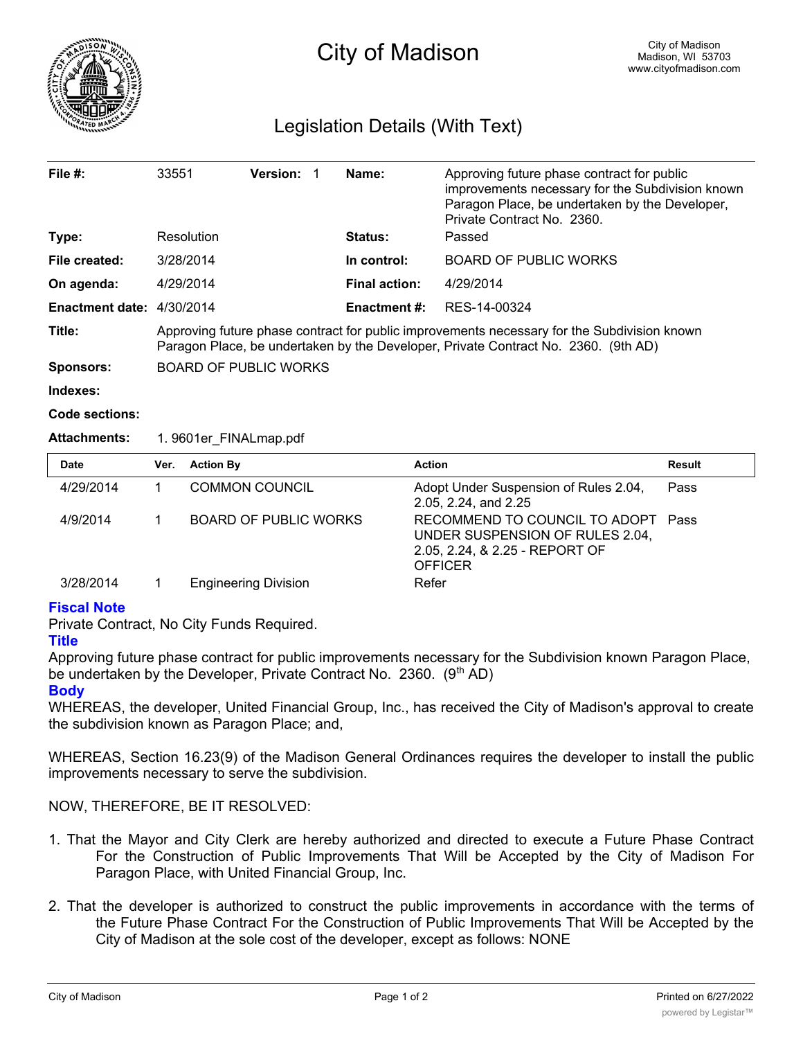

# Legislation Details (With Text)

| File $#$ :                | 33551                                                                                                                                                                             | Version: |  | Name:                | Approving future phase contract for public<br>improvements necessary for the Subdivision known<br>Paragon Place, be undertaken by the Developer,<br>Private Contract No. 2360. |  |  |
|---------------------------|-----------------------------------------------------------------------------------------------------------------------------------------------------------------------------------|----------|--|----------------------|--------------------------------------------------------------------------------------------------------------------------------------------------------------------------------|--|--|
| Type:                     | Resolution                                                                                                                                                                        |          |  | <b>Status:</b>       | Passed                                                                                                                                                                         |  |  |
| File created:             | 3/28/2014                                                                                                                                                                         |          |  | In control:          | BOARD OF PUBLIC WORKS                                                                                                                                                          |  |  |
| On agenda:                | 4/29/2014                                                                                                                                                                         |          |  | <b>Final action:</b> | 4/29/2014                                                                                                                                                                      |  |  |
| Enactment date: 4/30/2014 |                                                                                                                                                                                   |          |  | <b>Enactment #:</b>  | RES-14-00324                                                                                                                                                                   |  |  |
| Title:                    | Approving future phase contract for public improvements necessary for the Subdivision known<br>Paragon Place, be undertaken by the Developer, Private Contract No. 2360. (9th AD) |          |  |                      |                                                                                                                                                                                |  |  |
| <b>Sponsors:</b>          | <b>BOARD OF PUBLIC WORKS</b>                                                                                                                                                      |          |  |                      |                                                                                                                                                                                |  |  |
| Indexes:                  |                                                                                                                                                                                   |          |  |                      |                                                                                                                                                                                |  |  |

**Code sections:**

## **Attachments:** 1. 9601er\_FINALmap.pdf

| <b>Date</b> | Ver. | <b>Action By</b>             | <b>Action</b>                                                                                                             | <b>Result</b> |
|-------------|------|------------------------------|---------------------------------------------------------------------------------------------------------------------------|---------------|
| 4/29/2014   |      | <b>COMMON COUNCIL</b>        | Adopt Under Suspension of Rules 2.04,<br>2.05, 2.24, and 2.25                                                             | Pass          |
| 4/9/2014    |      | <b>BOARD OF PUBLIC WORKS</b> | RECOMMEND TO COUNCIL TO ADOPT Pass<br>UNDER SUSPENSION OF RULES 2.04,<br>2.05, 2.24, & 2.25 - REPORT OF<br><b>OFFICER</b> |               |
| 3/28/2014   |      | <b>Engineering Division</b>  | Refer                                                                                                                     |               |

# **Fiscal Note**

Private Contract, No City Funds Required.

## **Title**

Approving future phase contract for public improvements necessary for the Subdivision known Paragon Place, be undertaken by the Developer, Private Contract No. 2360. (9th AD)

**Body**

WHEREAS, the developer, United Financial Group, Inc., has received the City of Madison's approval to create the subdivision known as Paragon Place; and,

WHEREAS, Section 16.23(9) of the Madison General Ordinances requires the developer to install the public improvements necessary to serve the subdivision.

NOW, THEREFORE, BE IT RESOLVED:

- 1. That the Mayor and City Clerk are hereby authorized and directed to execute a Future Phase Contract For the Construction of Public Improvements That Will be Accepted by the City of Madison For Paragon Place, with United Financial Group, Inc.
- 2. That the developer is authorized to construct the public improvements in accordance with the terms of the Future Phase Contract For the Construction of Public Improvements That Will be Accepted by the City of Madison at the sole cost of the developer, except as follows: NONE